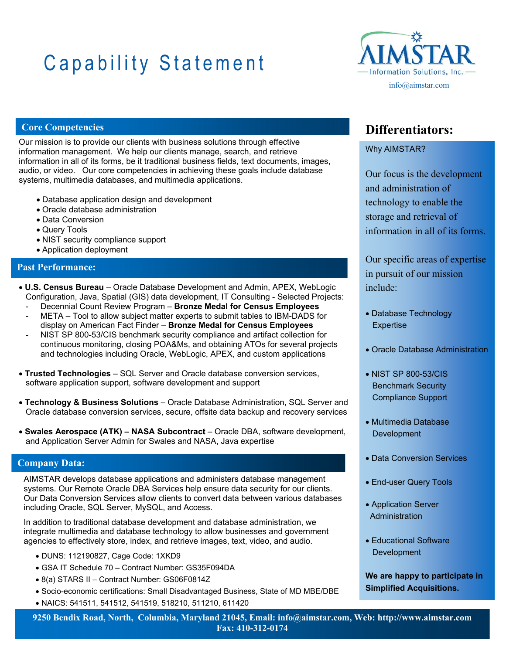# Capability Statement



### **Core Competencies**

Our mission is to provide our clients with business solutions through effective information management. We help our clients manage, search, and retrieve information in all of its forms, be it traditional business fields, text documents, images, audio, or video. Our core competencies in achieving these goals include database systems, multimedia databases, and multimedia applications.

- Database application design and development
- Oracle database administration
- Data Conversion
- Query Tools
- NIST security compliance support
- Application deployment

### **Past Performance:**

- **U.S. Census Bureau**  Oracle Database Development and Admin, APEX, WebLogic Configuration, Java, Spatial (GIS) data development, IT Consulting - Selected Projects:
	- Decennial Count Review Program **Bronze Medal for Census Employees**
	- META Tool to allow subject matter experts to submit tables to IBM-DADS for display on American Fact Finder – **Bronze Medal for Census Employees**
	- NIST SP 800-53/CIS benchmark security compliance and artifact collection for continuous monitoring, closing POA&Ms, and obtaining ATOs for several projects and technologies including Oracle, WebLogic, APEX, and custom applications
- **Trusted Technologies** SQL Server and Oracle database conversion services, software application support, software development and support
- **Technology & Business Solutions** Oracle Database Administration, SQL Server and Oracle database conversion services, secure, offsite data backup and recovery services
- **Swales Aerospace (ATK) NASA Subcontract** Oracle DBA, software development, and Application Server Admin for Swales and NASA, Java expertise

### **Company Data:**

AIMSTAR develops database applications and administers database management systems. Our Remote Oracle DBA Services help ensure data security for our clients. Our Data Conversion Services allow clients to convert data between various databases including Oracle, SQL Server, MySQL, and Access.

In addition to traditional database development and database administration, we integrate multimedia and database technology to allow businesses and government agencies to effectively store, index, and retrieve images, text, video, and audio.

- DUNS: 112190827, Cage Code: 1XKD9
- GSA IT Schedule 70 Contract Number: GS35F094DA
- 8(a) STARS II Contract Number: GS06F0814Z
- Socio-economic certifications: Small Disadvantaged Business, State of MD MBE/DBE
- NAICS: 541511, 541512, 541519, 518210, 511210, 611420

### **Differentiators:**

### Why AIMSTAR?

Our focus is the development and administration of technology to enable the storage and retrieval of information in all of its forms.

Our specific areas of expertise in pursuit of our mission include:

- Database Technology **Expertise**
- Oracle Database Administration
- NIST SP 800-53/CIS Benchmark Security Compliance Support
- Multimedia Database **Development**
- Data Conversion Services
- **End-user Query Tools**
- Application Server **Administration**
- Educational Software **Development**

**We are happy to participate in Simplified Acquisitions.** 

**9250 Bendix Road, North, Columbia, Maryland 21045, Email: info@aimstar.com, Web: http://www.aimstar.com Fax: 410-312-0174**